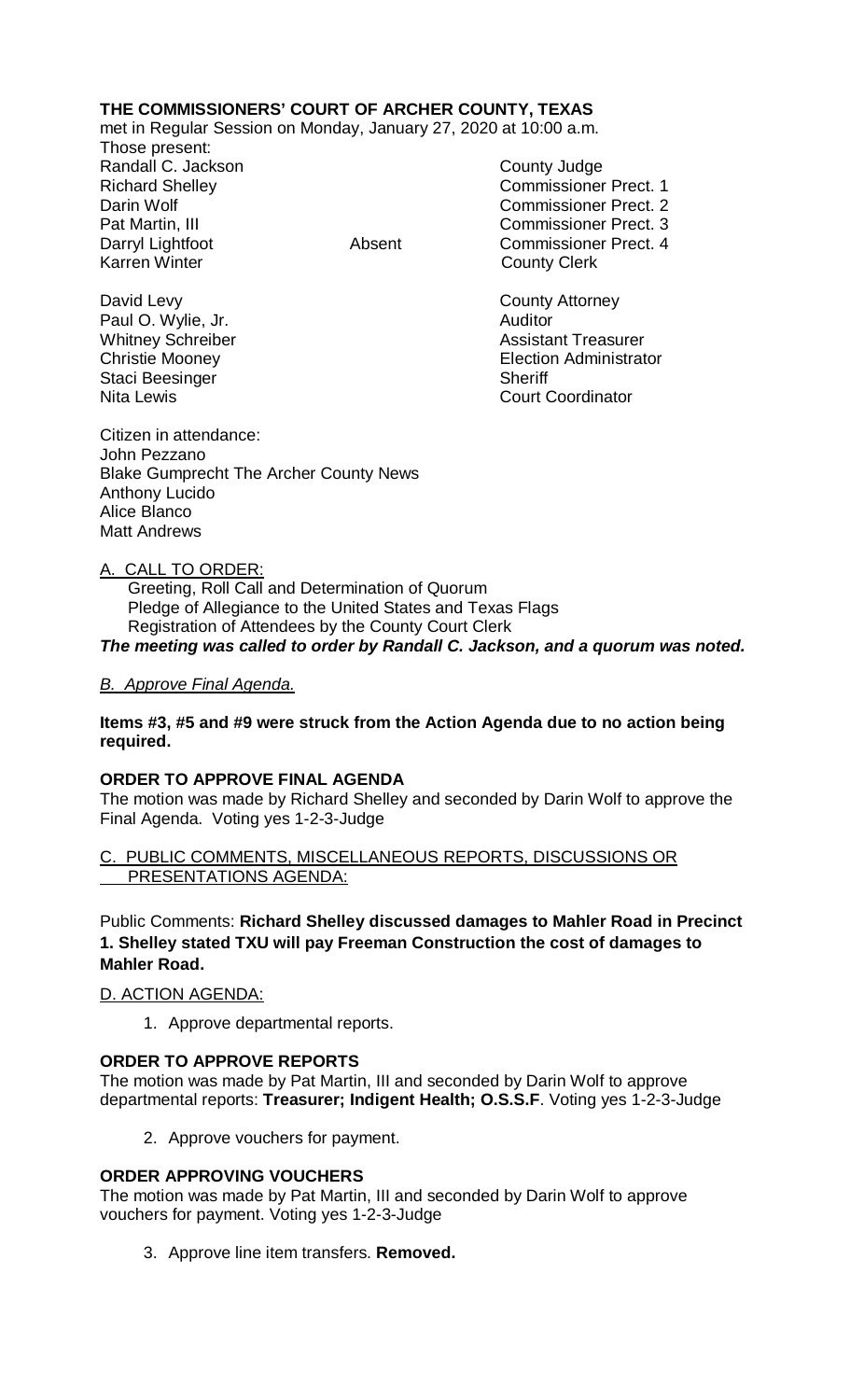# **THE COMMISSIONERS' COURT OF ARCHER COUNTY, TEXAS**

met in Regular Session on Monday, January 27, 2020 at 10:00 a.m.

Those present: Randall C. Jackson County Judge

Richard Shelley **Commissioner Prect. 1** Darin Wolf Commissioner Prect. 2 Pat Martin, III Commissioner Prect. 3 Darryl Lightfoot **Absent** Commissioner Prect. 4<br>
Karren Winter **County Clerk County Clerk** 

David Levy **County Attorney** Christie Mooney Election Administrator

Paul O. Wylie, Jr. **Auditor Paul O. Wylie, Jr. Auditor** Whitney Schreiber **Assistant Treasurer** Assistant Treasurer Staci Beesinger Sheriff Nita Lewis **Court Coordinator** Court Coordinator

Citizen in attendance: John Pezzano Blake Gumprecht The Archer County News Anthony Lucido Alice Blanco Matt Andrews

## A. CALL TO ORDER:

 Greeting, Roll Call and Determination of Quorum Pledge of Allegiance to the United States and Texas Flags Registration of Attendees by the County Court Clerk *The meeting was called to order by Randall C. Jackson, and a quorum was noted.*

## *B. Approve Final Agenda.*

### **Items #3, #5 and #9 were struck from the Action Agenda due to no action being required.**

## **ORDER TO APPROVE FINAL AGENDA**

The motion was made by Richard Shelley and seconded by Darin Wolf to approve the Final Agenda. Voting yes 1-2-3-Judge

### PUBLIC COMMENTS, MISCELLANEOUS REPORTS, DISCUSSIONS OR PRESENTATIONS AGENDA:

Public Comments: **Richard Shelley discussed damages to Mahler Road in Precinct 1. Shelley stated TXU will pay Freeman Construction the cost of damages to Mahler Road.**

## D. ACTION AGENDA:

1. Approve departmental reports.

## **ORDER TO APPROVE REPORTS**

The motion was made by Pat Martin, III and seconded by Darin Wolf to approve departmental reports: **Treasurer; Indigent Health; O.S.S.F**. Voting yes 1-2-3-Judge

2. Approve vouchers for payment.

## **ORDER APPROVING VOUCHERS**

The motion was made by Pat Martin, III and seconded by Darin Wolf to approve vouchers for payment. Voting yes 1-2-3-Judge

3. Approve line item transfers. **Removed.**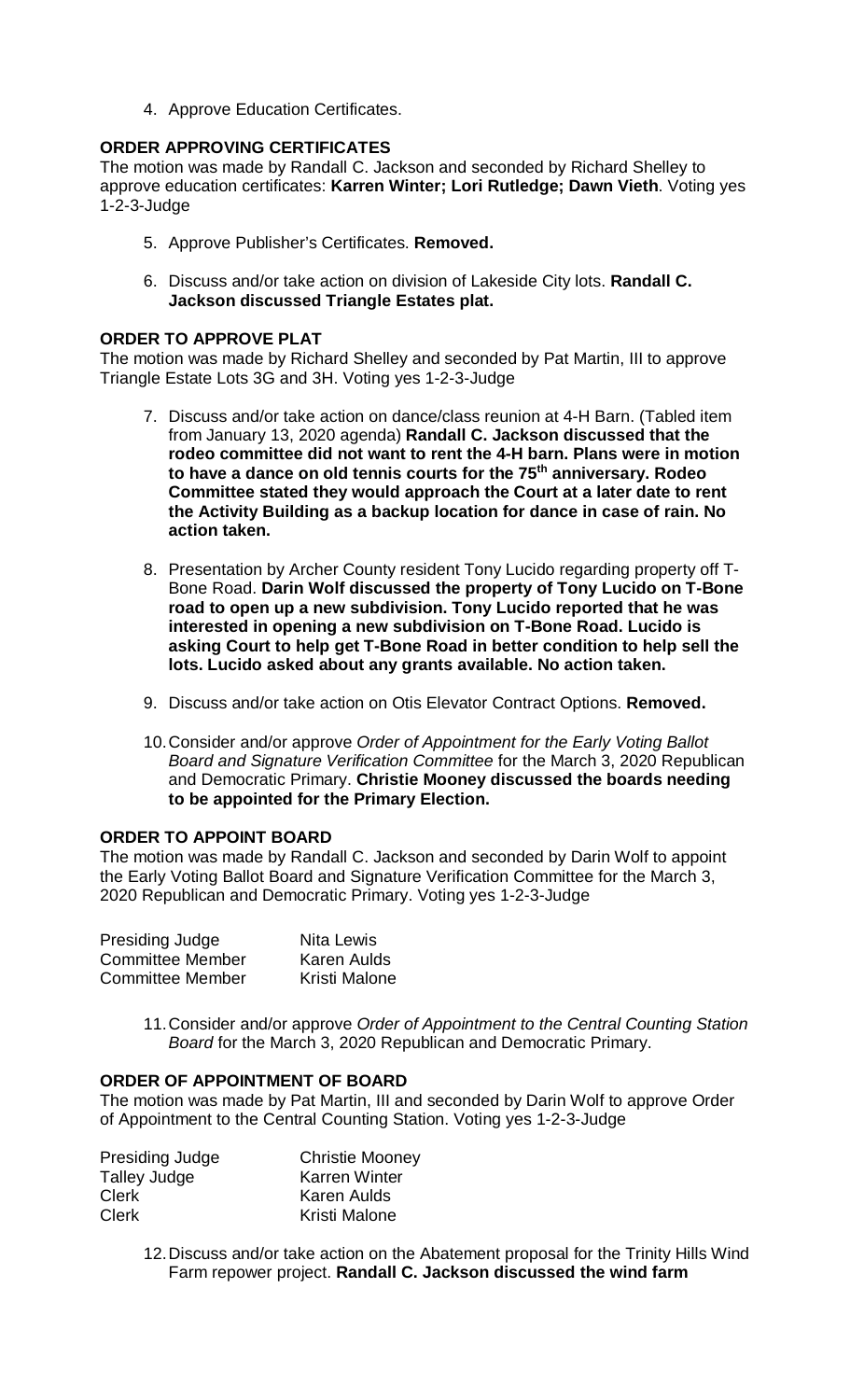4. Approve Education Certificates.

### **ORDER APPROVING CERTIFICATES**

The motion was made by Randall C. Jackson and seconded by Richard Shelley to approve education certificates: **Karren Winter; Lori Rutledge; Dawn Vieth**. Voting yes 1-2-3-Judge

- 5. Approve Publisher's Certificates. **Removed.**
- 6. Discuss and/or take action on division of Lakeside City lots. **Randall C. Jackson discussed Triangle Estates plat.**

### **ORDER TO APPROVE PLAT**

The motion was made by Richard Shelley and seconded by Pat Martin, III to approve Triangle Estate Lots 3G and 3H. Voting yes 1-2-3-Judge

- 7. Discuss and/or take action on dance/class reunion at 4-H Barn. (Tabled item from January 13, 2020 agenda) **Randall C. Jackson discussed that the rodeo committee did not want to rent the 4-H barn. Plans were in motion to have a dance on old tennis courts for the 75th anniversary. Rodeo Committee stated they would approach the Court at a later date to rent the Activity Building as a backup location for dance in case of rain. No action taken.**
- 8. Presentation by Archer County resident Tony Lucido regarding property off T-Bone Road. **Darin Wolf discussed the property of Tony Lucido on T-Bone road to open up a new subdivision. Tony Lucido reported that he was interested in opening a new subdivision on T-Bone Road. Lucido is asking Court to help get T-Bone Road in better condition to help sell the lots. Lucido asked about any grants available. No action taken.**
- 9. Discuss and/or take action on Otis Elevator Contract Options. **Removed.**
- 10.Consider and/or approve *Order of Appointment for the Early Voting Ballot Board and Signature Verification Committee* for the March 3, 2020 Republican and Democratic Primary. **Christie Mooney discussed the boards needing to be appointed for the Primary Election.**

#### **ORDER TO APPOINT BOARD**

The motion was made by Randall C. Jackson and seconded by Darin Wolf to appoint the Early Voting Ballot Board and Signature Verification Committee for the March 3, 2020 Republican and Democratic Primary. Voting yes 1-2-3-Judge

| Presiding Judge         | <b>Nita Lewis</b>  |
|-------------------------|--------------------|
| <b>Committee Member</b> | <b>Karen Aulds</b> |
| <b>Committee Member</b> | Kristi Malone      |

11.Consider and/or approve *Order of Appointment to the Central Counting Station Board* for the March 3, 2020 Republican and Democratic Primary.

### **ORDER OF APPOINTMENT OF BOARD**

The motion was made by Pat Martin, III and seconded by Darin Wolf to approve Order of Appointment to the Central Counting Station. Voting yes 1-2-3-Judge

| Presiding Judge | <b>Christie Mooney</b> |
|-----------------|------------------------|
| Talley Judge    | <b>Karren Winter</b>   |
| <b>Clerk</b>    | Karen Aulds            |
| <b>Clerk</b>    | Kristi Malone          |

12.Discuss and/or take action on the Abatement proposal for the Trinity Hills Wind Farm repower project. **Randall C. Jackson discussed the wind farm**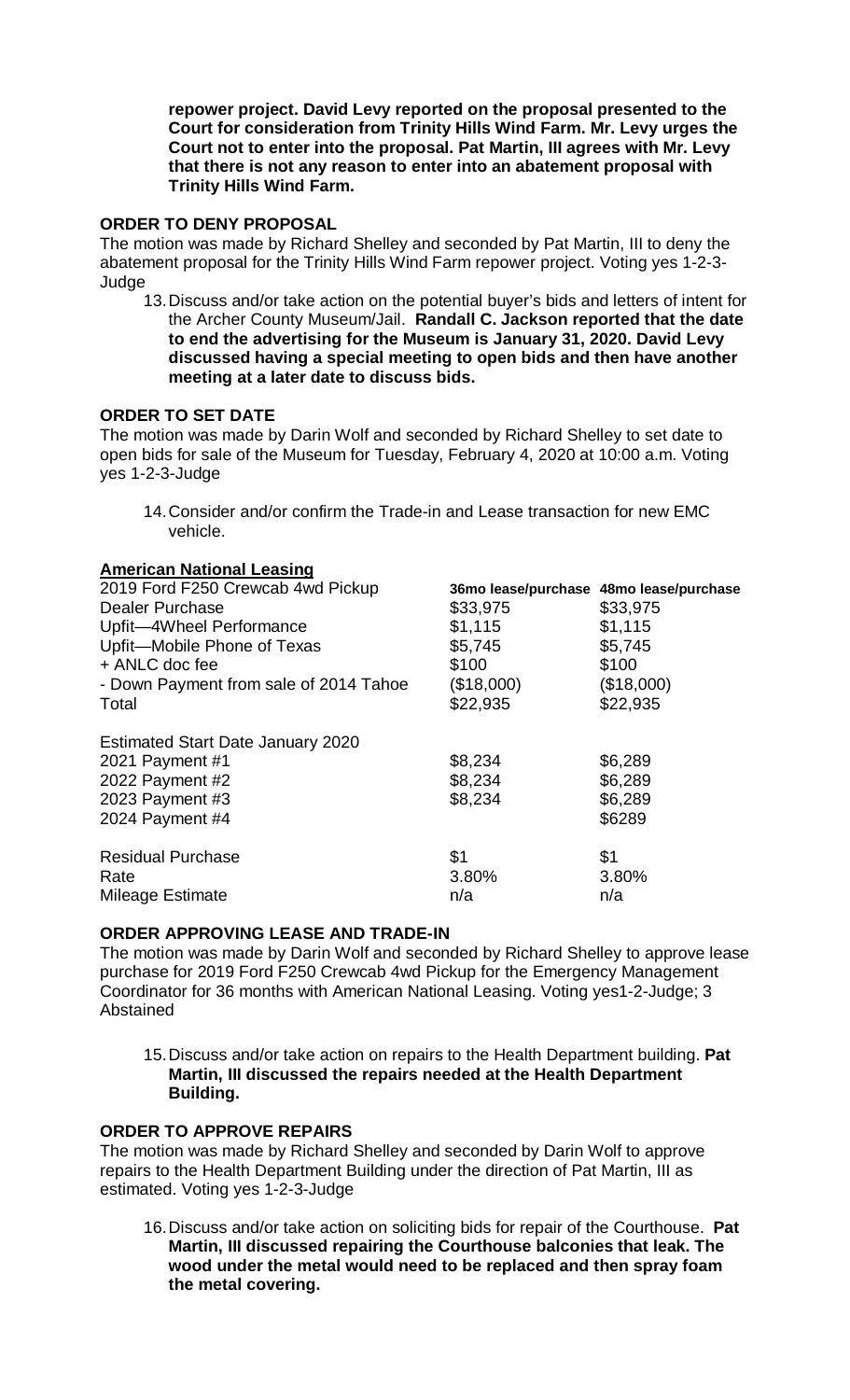**repower project. David Levy reported on the proposal presented to the Court for consideration from Trinity Hills Wind Farm. Mr. Levy urges the Court not to enter into the proposal. Pat Martin, III agrees with Mr. Levy that there is not any reason to enter into an abatement proposal with Trinity Hills Wind Farm.** 

### **ORDER TO DENY PROPOSAL**

The motion was made by Richard Shelley and seconded by Pat Martin, III to deny the abatement proposal for the Trinity Hills Wind Farm repower project. Voting yes 1-2-3- **Judge** 

13.Discuss and/or take action on the potential buyer's bids and letters of intent for the Archer County Museum/Jail. **Randall C. Jackson reported that the date to end the advertising for the Museum is January 31, 2020. David Levy discussed having a special meeting to open bids and then have another meeting at a later date to discuss bids.** 

#### **ORDER TO SET DATE**

The motion was made by Darin Wolf and seconded by Richard Shelley to set date to open bids for sale of the Museum for Tuesday, February 4, 2020 at 10:00 a.m. Voting yes 1-2-3-Judge

14.Consider and/or confirm the Trade-in and Lease transaction for new EMC vehicle.

#### **American National Leasing**

| 2019 Ford F250 Crewcab 4wd Pickup        |            | 36mo lease/purchase 48mo lease/purchase |
|------------------------------------------|------------|-----------------------------------------|
| Dealer Purchase                          | \$33,975   | \$33,975                                |
| Upfit-4Wheel Performance                 | \$1,115    | \$1,115                                 |
| Upfit-Mobile Phone of Texas              | \$5,745    | \$5,745                                 |
| + ANLC doc fee                           | \$100      | \$100                                   |
| - Down Payment from sale of 2014 Tahoe   | (\$18,000) | (\$18,000)                              |
| Total                                    | \$22,935   | \$22,935                                |
| <b>Estimated Start Date January 2020</b> |            |                                         |
| 2021 Payment #1                          | \$8,234    | \$6,289                                 |
| 2022 Payment #2                          | \$8,234    | \$6,289                                 |
| 2023 Payment #3                          | \$8,234    | \$6,289                                 |
| 2024 Payment #4                          |            | \$6289                                  |
| <b>Residual Purchase</b>                 | \$1        | \$1                                     |
| Rate                                     | 3.80%      | 3.80%                                   |
| Mileage Estimate                         | n/a        | n/a                                     |

#### **ORDER APPROVING LEASE AND TRADE-IN**

The motion was made by Darin Wolf and seconded by Richard Shelley to approve lease purchase for 2019 Ford F250 Crewcab 4wd Pickup for the Emergency Management Coordinator for 36 months with American National Leasing. Voting yes1-2-Judge; 3 Abstained

15.Discuss and/or take action on repairs to the Health Department building. **Pat Martin, III discussed the repairs needed at the Health Department Building.** 

## **ORDER TO APPROVE REPAIRS**

The motion was made by Richard Shelley and seconded by Darin Wolf to approve repairs to the Health Department Building under the direction of Pat Martin, III as estimated. Voting yes 1-2-3-Judge

16.Discuss and/or take action on soliciting bids for repair of the Courthouse. **Pat Martin, III discussed repairing the Courthouse balconies that leak. The wood under the metal would need to be replaced and then spray foam the metal covering.**